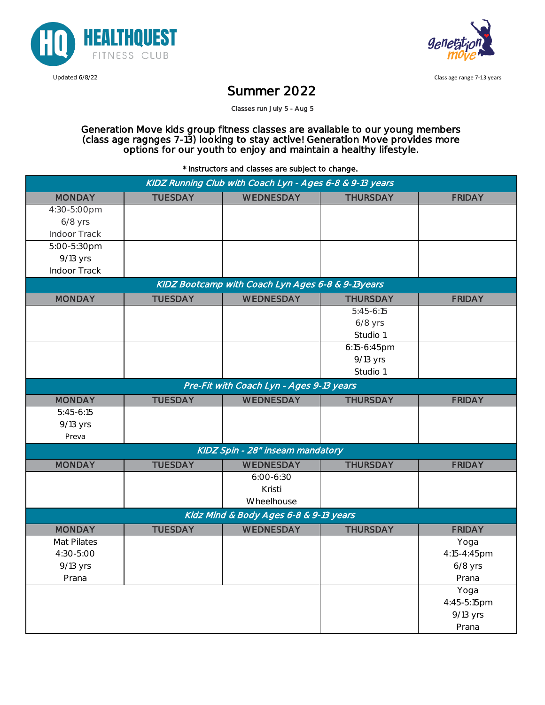



Updated 6/8/22 Class age range 7-13 years

## Summer 2022

Classes run July 5 - Aug 5

Generation Move kids group fitness classes are available to our young members (class age ragnges 7-13) looking to stay active! Generation Move provides more options for our youth to enjoy and maintain a healthy lifestyle.

\* Instructors and classes are subject to change.

| KIDZ Running Club with Coach Lyn - Ages 6-8 & 9-13 years |                |               |                 |               |
|----------------------------------------------------------|----------------|---------------|-----------------|---------------|
| <b>MONDAY</b>                                            | <b>TUESDAY</b> | WEDNESDAY     | <b>THURSDAY</b> | <b>FRIDAY</b> |
| 4:30-5:00pm                                              |                |               |                 |               |
| $6/8$ yrs                                                |                |               |                 |               |
| Indoor Track                                             |                |               |                 |               |
| 5:00-5:30pm                                              |                |               |                 |               |
| 9/13 yrs                                                 |                |               |                 |               |
| Indoor Track                                             |                |               |                 |               |
| KIDZ Bootcamp with Coach Lyn Ages 6-8 & 9-13years        |                |               |                 |               |
| <b>MONDAY</b>                                            | <b>TUESDAY</b> | WEDNESDAY     | <b>THURSDAY</b> | <b>FRIDAY</b> |
|                                                          |                |               | $5:45-6:15$     |               |
|                                                          |                |               | $6/8$ yrs       |               |
|                                                          |                |               | Studio 1        |               |
|                                                          |                |               | 6:15-6:45pm     |               |
|                                                          |                |               | 9/13 yrs        |               |
|                                                          |                |               | Studio 1        |               |
| Pre-Fit with Coach Lyn - Ages 9-13 years                 |                |               |                 |               |
| <b>MONDAY</b>                                            | <b>TUESDAY</b> | WEDNESDAY     | <b>THURSDAY</b> | <b>FRIDAY</b> |
| $5:45-6:15$                                              |                |               |                 |               |
| 9/13 yrs                                                 |                |               |                 |               |
| Preva                                                    |                |               |                 |               |
| KIDZ Spin - 28" inseam mandatory                         |                |               |                 |               |
| <b>MONDAY</b>                                            | <b>TUESDAY</b> | WEDNESDAY     | <b>THURSDAY</b> | <b>FRIDAY</b> |
|                                                          |                | $6:00 - 6:30$ |                 |               |
|                                                          |                | Kristi        |                 |               |
|                                                          |                | Wheelhouse    |                 |               |
| Kidz Mind & Body Ages 6-8 & 9-13 years                   |                |               |                 |               |
| <b>MONDAY</b>                                            | <b>TUESDAY</b> | WEDNESDAY     | <b>THURSDAY</b> | <b>FRIDAY</b> |
| Mat Pilates                                              |                |               |                 | Yoga          |
| 4:30-5:00                                                |                |               |                 | 4:15-4:45pm   |
| 9/13 yrs                                                 |                |               |                 | $6/8$ yrs     |
| Prana                                                    |                |               |                 | Prana         |
|                                                          |                |               |                 | Yoga          |
|                                                          |                |               |                 | 4:45-5:15pm   |
|                                                          |                |               |                 | 9/13 yrs      |
|                                                          |                |               |                 | Prana         |